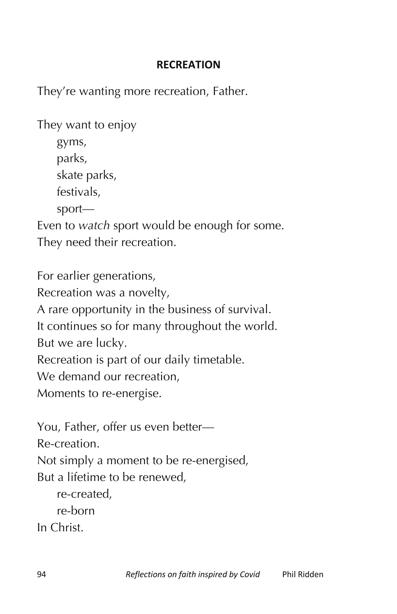## **RECREATION**

They're wanting more recreation, Father.

```
They want to enjoy
   gyms,
   parks,
   skate parks,
   festivals,
   sport—
Even to watch sport would be enough for some.
They need their recreation.
```
For earlier generations, Recreation was a novelty, A rare opportunity in the business of survival. It continues so for many throughout the world. But we are lucky. Recreation is part of our daily timetable. We demand our recreation, Moments to re-energise.

You, Father, offer us even better—

Re-creation.

Not simply a moment to be re-energised,

But a lifetime to be renewed,

re-created,

re-born

In Christ.